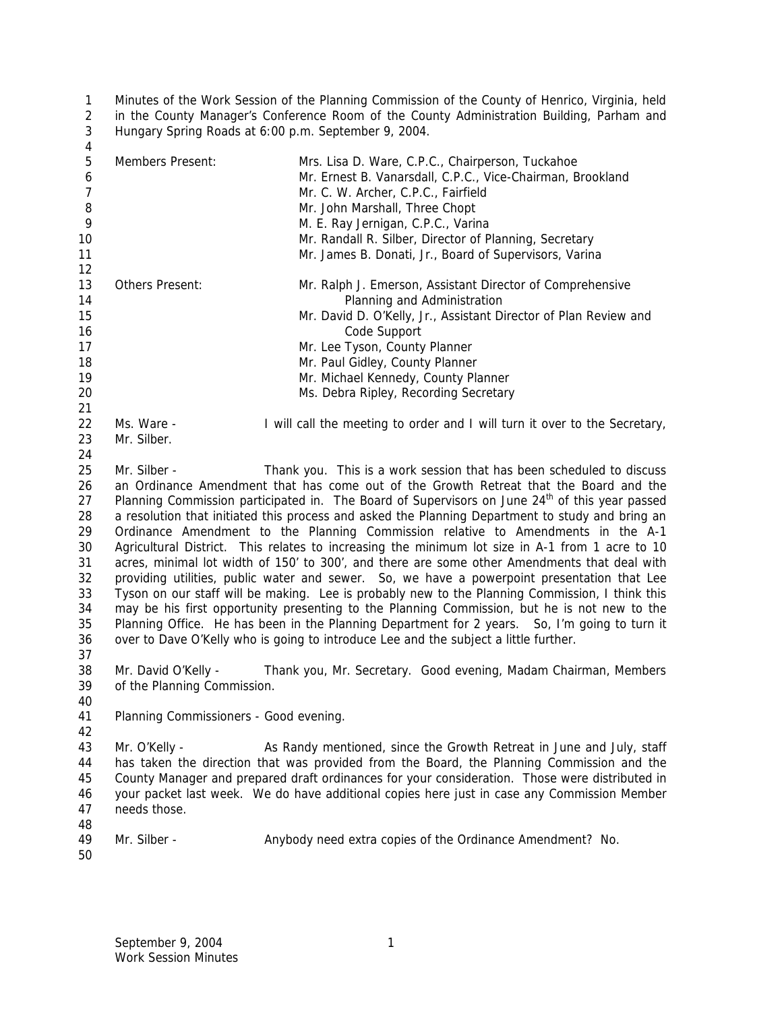Minutes of the Work Session of the Planning Commission of the County of Henrico, Virginia, held in the County Manager's Conference Room of the County Administration Building, Parham and Hungary Spring Roads at 6:00 p.m. September 9, 2004.

| 4              |                                        |                                                                                                            |
|----------------|----------------------------------------|------------------------------------------------------------------------------------------------------------|
| 5              | Members Present:                       | Mrs. Lisa D. Ware, C.P.C., Chairperson, Tuckahoe                                                           |
| 6              |                                        | Mr. Ernest B. Vanarsdall, C.P.C., Vice-Chairman, Brookland                                                 |
| $\overline{7}$ |                                        | Mr. C. W. Archer, C.P.C., Fairfield                                                                        |
| 8              |                                        | Mr. John Marshall, Three Chopt                                                                             |
| 9              |                                        | M. E. Ray Jernigan, C.P.C., Varina                                                                         |
| 10             |                                        | Mr. Randall R. Silber, Director of Planning, Secretary                                                     |
| 11             |                                        | Mr. James B. Donati, Jr., Board of Supervisors, Varina                                                     |
| 12             |                                        |                                                                                                            |
| 13             | Others Present:                        | Mr. Ralph J. Emerson, Assistant Director of Comprehensive                                                  |
| 14             |                                        | Planning and Administration                                                                                |
| 15             |                                        | Mr. David D. O'Kelly, Jr., Assistant Director of Plan Review and                                           |
| 16             |                                        | Code Support                                                                                               |
| 17             |                                        | Mr. Lee Tyson, County Planner                                                                              |
| 18             |                                        | Mr. Paul Gidley, County Planner                                                                            |
| 19             |                                        |                                                                                                            |
|                |                                        | Mr. Michael Kennedy, County Planner                                                                        |
| 20             |                                        | Ms. Debra Ripley, Recording Secretary                                                                      |
| 21             |                                        |                                                                                                            |
| 22             | Ms. Ware -                             | I will call the meeting to order and I will turn it over to the Secretary,                                 |
| 23             | Mr. Silber.                            |                                                                                                            |
| 24             |                                        |                                                                                                            |
| 25             | Mr. Silber -                           | Thank you. This is a work session that has been scheduled to discuss                                       |
| 26             |                                        | an Ordinance Amendment that has come out of the Growth Retreat that the Board and the                      |
| 27             |                                        | Planning Commission participated in. The Board of Supervisors on June 24 <sup>th</sup> of this year passed |
| 28             |                                        | a resolution that initiated this process and asked the Planning Department to study and bring an           |
| 29             |                                        | Ordinance Amendment to the Planning Commission relative to Amendments in the A-1                           |
| 30             |                                        | Agricultural District. This relates to increasing the minimum lot size in A-1 from 1 acre to 10            |
| 31             |                                        | acres, minimal lot width of 150' to 300', and there are some other Amendments that deal with               |
| 32             |                                        | providing utilities, public water and sewer. So, we have a powerpoint presentation that Lee                |
| 33             |                                        | Tyson on our staff will be making. Lee is probably new to the Planning Commission, I think this            |
| 34             |                                        | may be his first opportunity presenting to the Planning Commission, but he is not new to the               |
| 35             |                                        | Planning Office. He has been in the Planning Department for 2 years. So, I'm going to turn it              |
| 36             |                                        |                                                                                                            |
|                |                                        |                                                                                                            |
|                |                                        | over to Dave O'Kelly who is going to introduce Lee and the subject a little further.                       |
| 37             |                                        |                                                                                                            |
| 38             | Mr. David O'Kelly -                    | Thank you, Mr. Secretary. Good evening, Madam Chairman, Members                                            |
| 39             | of the Planning Commission.            |                                                                                                            |
| 40             |                                        |                                                                                                            |
| 41             | Planning Commissioners - Good evening. |                                                                                                            |
| 42             |                                        |                                                                                                            |
| 43             | Mr. O'Kelly -                          | As Randy mentioned, since the Growth Retreat in June and July, staff                                       |
| 44             |                                        | has taken the direction that was provided from the Board, the Planning Commission and the                  |
| 45             |                                        | County Manager and prepared draft ordinances for your consideration. Those were distributed in             |
| 46             |                                        | your packet last week. We do have additional copies here just in case any Commission Member                |
| 47             | needs those.                           |                                                                                                            |
| 48             |                                        |                                                                                                            |
| 49             | Mr. Silber -                           | Anybody need extra copies of the Ordinance Amendment? No.                                                  |
| 50             |                                        |                                                                                                            |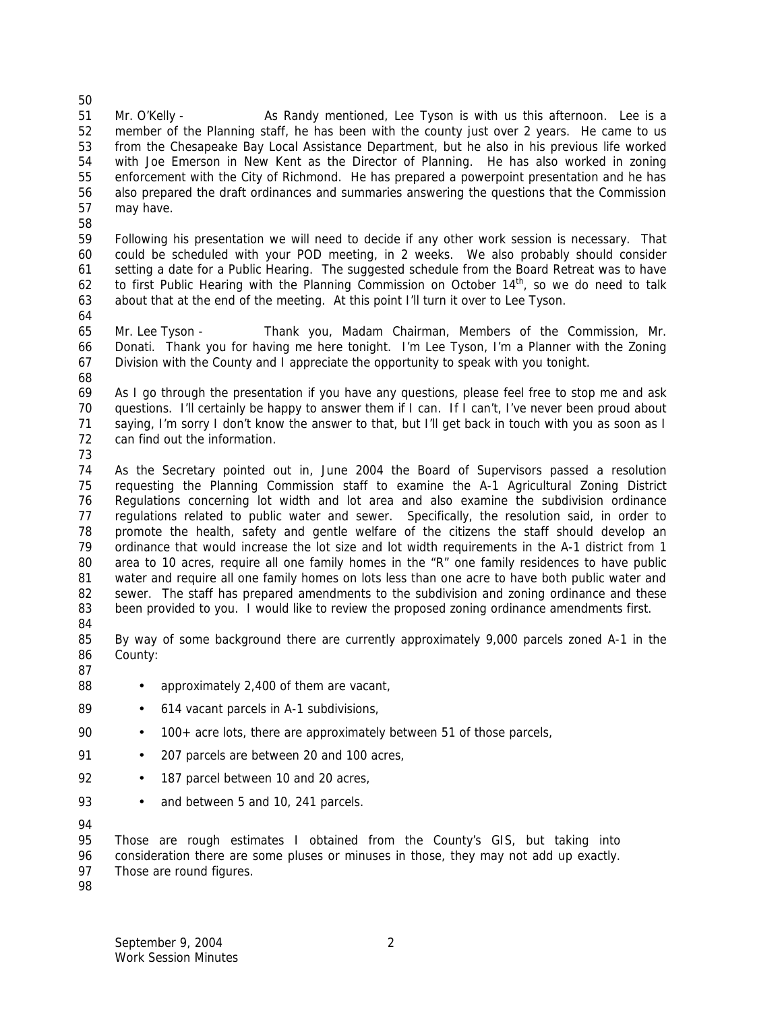Mr. O'Kelly - As Randy mentioned, Lee Tyson is with us this afternoon. Lee is a member of the Planning staff, he has been with the county just over 2 years. He came to us from the Chesapeake Bay Local Assistance Department, but he also in his previous life worked with Joe Emerson in New Kent as the Director of Planning. He has also worked in zoning enforcement with the City of Richmond. He has prepared a powerpoint presentation and he has also prepared the draft ordinances and summaries answering the questions that the Commission may have. 

- Following his presentation we will need to decide if any other work session is necessary. That could be scheduled with your POD meeting, in 2 weeks. We also probably should consider setting a date for a Public Hearing. The suggested schedule from the Board Retreat was to have 62 to first Public Hearing with the Planning Commission on October  $14<sup>th</sup>$ , so we do need to talk about that at the end of the meeting. At this point I'll turn it over to Lee Tyson.
- 

 Mr. Lee Tyson - Thank you, Madam Chairman, Members of the Commission, Mr. Donati. Thank you for having me here tonight. I'm Lee Tyson, I'm a Planner with the Zoning Division with the County and I appreciate the opportunity to speak with you tonight.

 As I go through the presentation if you have any questions, please feel free to stop me and ask questions. I'll certainly be happy to answer them if I can. If I can't, I've never been proud about saying, I'm sorry I don't know the answer to that, but I'll get back in touch with you as soon as I can find out the information.

 As the Secretary pointed out in, June 2004 the Board of Supervisors passed a resolution requesting the Planning Commission staff to examine the A-1 Agricultural Zoning District Regulations concerning lot width and lot area and also examine the subdivision ordinance regulations related to public water and sewer. Specifically, the resolution said, in order to promote the health, safety and gentle welfare of the citizens the staff should develop an ordinance that would increase the lot size and lot width requirements in the A-1 district from 1 area to 10 acres, require all one family homes in the "R" one family residences to have public water and require all one family homes on lots less than one acre to have both public water and sewer. The staff has prepared amendments to the subdivision and zoning ordinance and these been provided to you. I would like to review the proposed zoning ordinance amendments first.

 By way of some background there are currently approximately 9,000 parcels zoned A-1 in the County: 

- 88 approximately 2,400 of them are vacant,
- 89 614 vacant parcels in A-1 subdivisions,
- 100+ acre lots, there are approximately between 51 of those parcels,
- 91 207 parcels are between 20 and 100 acres,
- 92 187 parcel between 10 and 20 acres,
- 93 and between 5 and 10, 241 parcels.

 Those are rough estimates I obtained from the County's GIS, but taking into consideration there are some pluses or minuses in those, they may not add up exactly.

Those are round figures.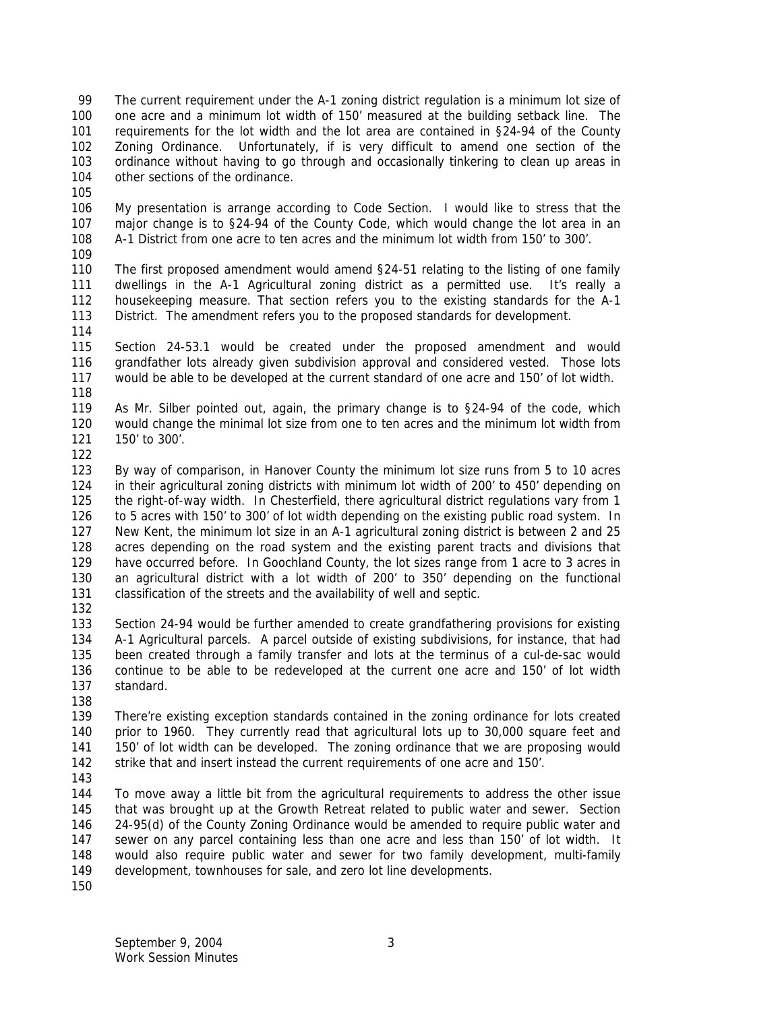The current requirement under the A-1 zoning district regulation is a minimum lot size of one acre and a minimum lot width of 150' measured at the building setback line. The requirements for the lot width and the lot area are contained in §24-94 of the County Zoning Ordinance. Unfortunately, if is very difficult to amend one section of the ordinance without having to go through and occasionally tinkering to clean up areas in other sections of the ordinance.

 My presentation is arrange according to Code Section. I would like to stress that the major change is to §24-94 of the County Code, which would change the lot area in an A-1 District from one acre to ten acres and the minimum lot width from 150' to 300'.

 The first proposed amendment would amend §24-51 relating to the listing of one family dwellings in the A-1 Agricultural zoning district as a permitted use. It's really a housekeeping measure. That section refers you to the existing standards for the A-1 District. The amendment refers you to the proposed standards for development.

 Section 24-53.1 would be created under the proposed amendment and would grandfather lots already given subdivision approval and considered vested. Those lots would be able to be developed at the current standard of one acre and 150' of lot width. 

 As Mr. Silber pointed out, again, the primary change is to §24-94 of the code, which would change the minimal lot size from one to ten acres and the minimum lot width from 150' to 300'.

 By way of comparison, in Hanover County the minimum lot size runs from 5 to 10 acres in their agricultural zoning districts with minimum lot width of 200' to 450' depending on the right-of-way width. In Chesterfield, there agricultural district regulations vary from 1 126 to 5 acres with 150' to 300' of lot width depending on the existing public road system. In New Kent, the minimum lot size in an A-1 agricultural zoning district is between 2 and 25 acres depending on the road system and the existing parent tracts and divisions that have occurred before. In Goochland County, the lot sizes range from 1 acre to 3 acres in an agricultural district with a lot width of 200' to 350' depending on the functional classification of the streets and the availability of well and septic.

 Section 24-94 would be further amended to create grandfathering provisions for existing A-1 Agricultural parcels. A parcel outside of existing subdivisions, for instance, that had been created through a family transfer and lots at the terminus of a cul-de-sac would continue to be able to be redeveloped at the current one acre and 150' of lot width standard.

 There're existing exception standards contained in the zoning ordinance for lots created prior to 1960. They currently read that agricultural lots up to 30,000 square feet and 150' of lot width can be developed. The zoning ordinance that we are proposing would strike that and insert instead the current requirements of one acre and 150'.

 To move away a little bit from the agricultural requirements to address the other issue that was brought up at the Growth Retreat related to public water and sewer. Section 24-95(d) of the County Zoning Ordinance would be amended to require public water and sewer on any parcel containing less than one acre and less than 150' of lot width. It would also require public water and sewer for two family development, multi-family development, townhouses for sale, and zero lot line developments.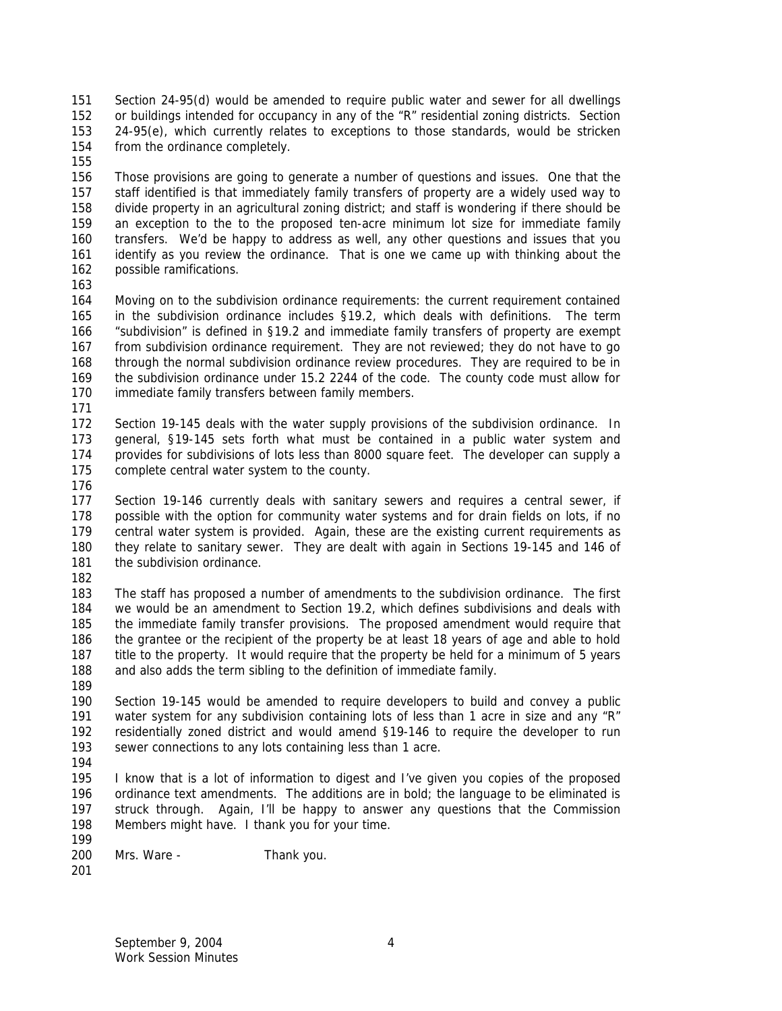Section 24-95(d) would be amended to require public water and sewer for all dwellings or buildings intended for occupancy in any of the "R" residential zoning districts. Section 24-95(e), which currently relates to exceptions to those standards, would be stricken from the ordinance completely.

 Those provisions are going to generate a number of questions and issues. One that the staff identified is that immediately family transfers of property are a widely used way to divide property in an agricultural zoning district; and staff is wondering if there should be an exception to the to the proposed ten-acre minimum lot size for immediate family transfers. We'd be happy to address as well, any other questions and issues that you identify as you review the ordinance. That is one we came up with thinking about the possible ramifications.

 Moving on to the subdivision ordinance requirements: the current requirement contained in the subdivision ordinance includes §19.2, which deals with definitions. The term "subdivision" is defined in §19.2 and immediate family transfers of property are exempt from subdivision ordinance requirement. They are not reviewed; they do not have to go through the normal subdivision ordinance review procedures. They are required to be in the subdivision ordinance under 15.2 2244 of the code. The county code must allow for immediate family transfers between family members.

 Section 19-145 deals with the water supply provisions of the subdivision ordinance. In general, §19-145 sets forth what must be contained in a public water system and provides for subdivisions of lots less than 8000 square feet. The developer can supply a complete central water system to the county.

 Section 19-146 currently deals with sanitary sewers and requires a central sewer, if possible with the option for community water systems and for drain fields on lots, if no central water system is provided. Again, these are the existing current requirements as they relate to sanitary sewer. They are dealt with again in Sections 19-145 and 146 of 181 the subdivision ordinance.

 The staff has proposed a number of amendments to the subdivision ordinance. The first we would be an amendment to Section 19.2, which defines subdivisions and deals with the immediate family transfer provisions. The proposed amendment would require that the grantee or the recipient of the property be at least 18 years of age and able to hold title to the property. It would require that the property be held for a minimum of 5 years and also adds the term sibling to the definition of immediate family.

 Section 19-145 would be amended to require developers to build and convey a public 191 water system for any subdivision containing lots of less than 1 acre in size and any "R" residentially zoned district and would amend §19-146 to require the developer to run sewer connections to any lots containing less than 1 acre.

 I know that is a lot of information to digest and I've given you copies of the proposed ordinance text amendments. The additions are in bold; the language to be eliminated is struck through. Again, I'll be happy to answer any questions that the Commission Members might have. I thank you for your time. 

- Mrs. Ware Thank you.
-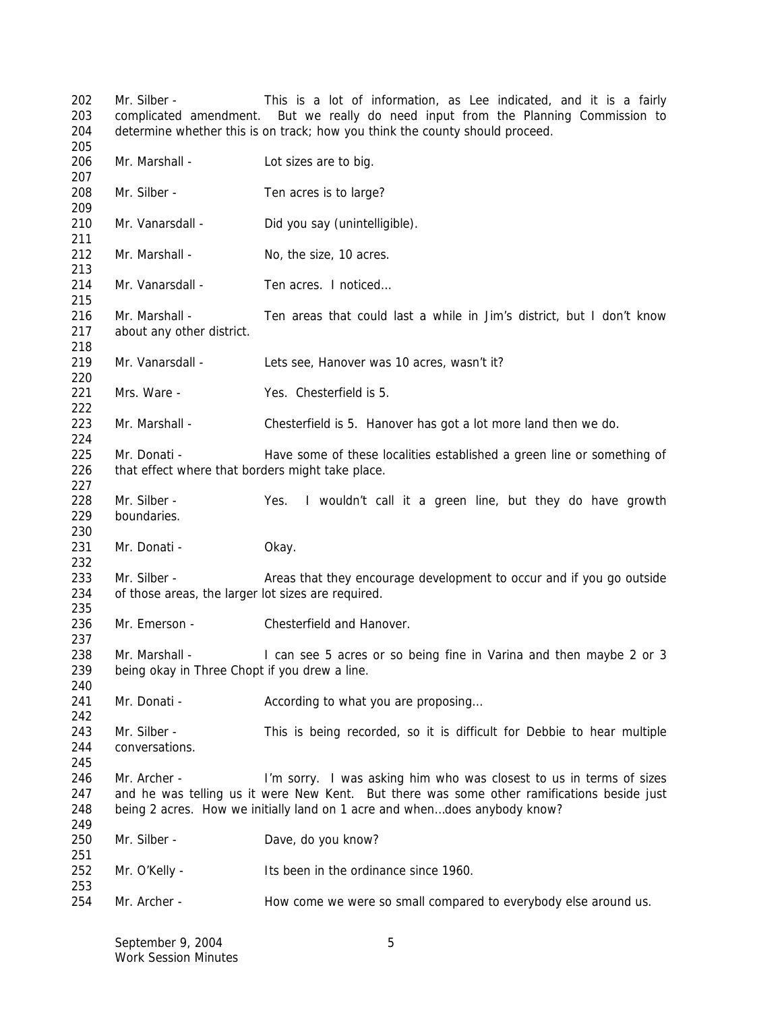Mr. Silber - This is a lot of information, as Lee indicated, and it is a fairly complicated amendment. But we really do need input from the Planning Commission to determine whether this is on track; how you think the county should proceed. 206 Mr. Marshall - Lot sizes are to big.

 Mr. Silber - Ten acres is to large? 210 Mr. Vanarsdall - Did you say (unintelligible). 212 Mr. Marshall - No, the size, 10 acres. Mr. Vanarsdall - Ten acres. I noticed… Mr. Marshall - Ten areas that could last a while in Jim's district, but I don't know about any other district. 219 Mr. Vanarsdall - Lets see, Hanover was 10 acres, wasn't it? Mrs. Ware - Yes. Chesterfield is 5. Mr. Marshall - Chesterfield is 5. Hanover has got a lot more land then we do. 225 Mr. Donati - Have some of these localities established a green line or something of that effect where that borders might take place. Mr. Silber - Yes. I wouldn't call it a green line, but they do have growth boundaries. 231 Mr. Donati - Okay. 233 Mr. Silber - Areas that they encourage development to occur and if you go outside of those areas, the larger lot sizes are required. 236 Mr. Emerson - Chesterfield and Hanover. Mr. Marshall - I can see 5 acres or so being fine in Varina and then maybe 2 or 3 being okay in Three Chopt if you drew a line. 241 Mr. Donati - According to what you are proposing... Mr. Silber - This is being recorded, so it is difficult for Debbie to hear multiple conversations. Mr. Archer - I'm sorry. I was asking him who was closest to us in terms of sizes 247 and he was telling us it were New Kent. But there was some other ramifications beside just being 2 acres. How we initially land on 1 acre and when…does anybody know? Mr. Silber - Dave, do you know? Mr. O'Kelly - Its been in the ordinance since 1960. Mr. Archer - How come we were so small compared to everybody else around us.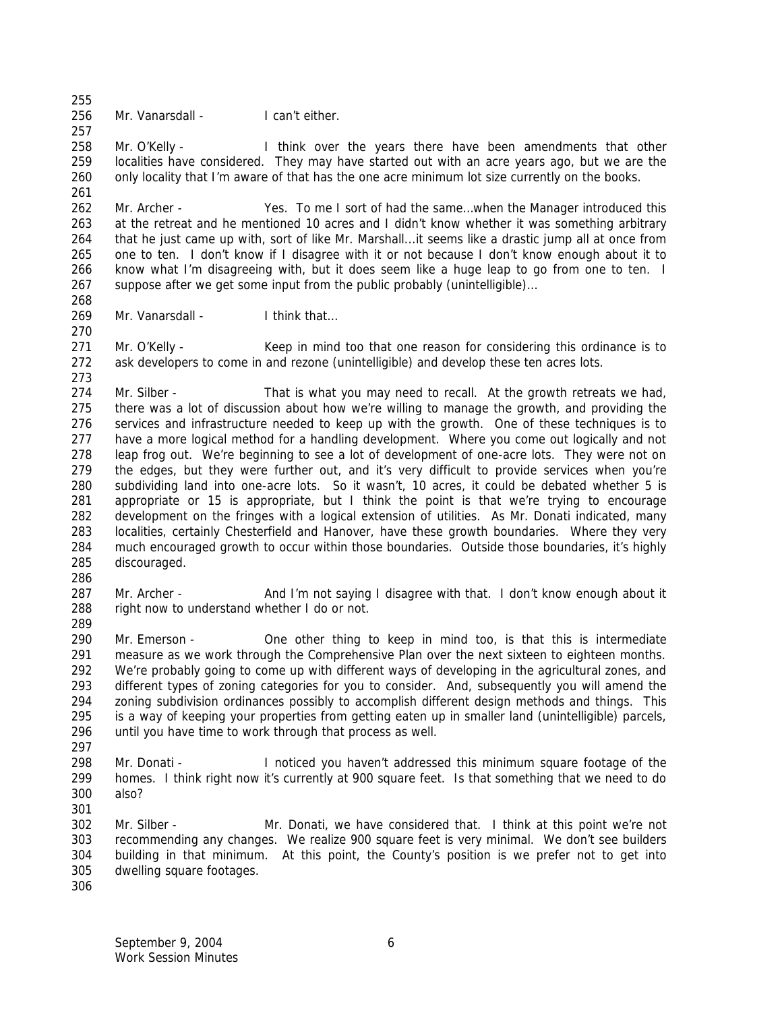256 Mr. Vanarsdall - I can't either.

258 Mr. O'Kelly - I think over the years there have been amendments that other localities have considered. They may have started out with an acre years ago, but we are the only locality that I'm aware of that has the one acre minimum lot size currently on the books. 

 Mr. Archer - Yes. To me I sort of had the same…when the Manager introduced this at the retreat and he mentioned 10 acres and I didn't know whether it was something arbitrary that he just came up with, sort of like Mr. Marshall...it seems like a drastic jump all at once from one to ten. I don't know if I disagree with it or not because I don't know enough about it to know what I'm disagreeing with, but it does seem like a huge leap to go from one to ten. I suppose after we get some input from the public probably (unintelligible)…

269 Mr. Vanarsdall - I think that...

271 Mr. O'Kelly - Keep in mind too that one reason for considering this ordinance is to ask developers to come in and rezone (unintelligible) and develop these ten acres lots.

274 Mr. Silber - That is what you may need to recall. At the growth retreats we had, there was a lot of discussion about how we're willing to manage the growth, and providing the services and infrastructure needed to keep up with the growth. One of these techniques is to have a more logical method for a handling development. Where you come out logically and not leap frog out. We're beginning to see a lot of development of one-acre lots. They were not on the edges, but they were further out, and it's very difficult to provide services when you're subdividing land into one-acre lots. So it wasn't, 10 acres, it could be debated whether 5 is appropriate or 15 is appropriate, but I think the point is that we're trying to encourage development on the fringes with a logical extension of utilities. As Mr. Donati indicated, many localities, certainly Chesterfield and Hanover, have these growth boundaries. Where they very much encouraged growth to occur within those boundaries. Outside those boundaries, it's highly discouraged.

287 Mr. Archer - And I'm not saying I disagree with that. I don't know enough about it 288 right now to understand whether I do or not. 

 Mr. Emerson - One other thing to keep in mind too, is that this is intermediate measure as we work through the Comprehensive Plan over the next sixteen to eighteen months. 292 We're probably going to come up with different ways of developing in the agricultural zones, and different types of zoning categories for you to consider. And, subsequently you will amend the zoning subdivision ordinances possibly to accomplish different design methods and things. This is a way of keeping your properties from getting eaten up in smaller land (unintelligible) parcels, until you have time to work through that process as well.

- 
- Mr. Donati I noticed you haven't addressed this minimum square footage of the homes. I think right now it's currently at 900 square feet. Is that something that we need to do also?
- Mr. Silber - Mr. Donati, we have considered that. I think at this point we're not recommending any changes. We realize 900 square feet is very minimal. We don't see builders building in that minimum. At this point, the County's position is we prefer not to get into dwelling square footages.
-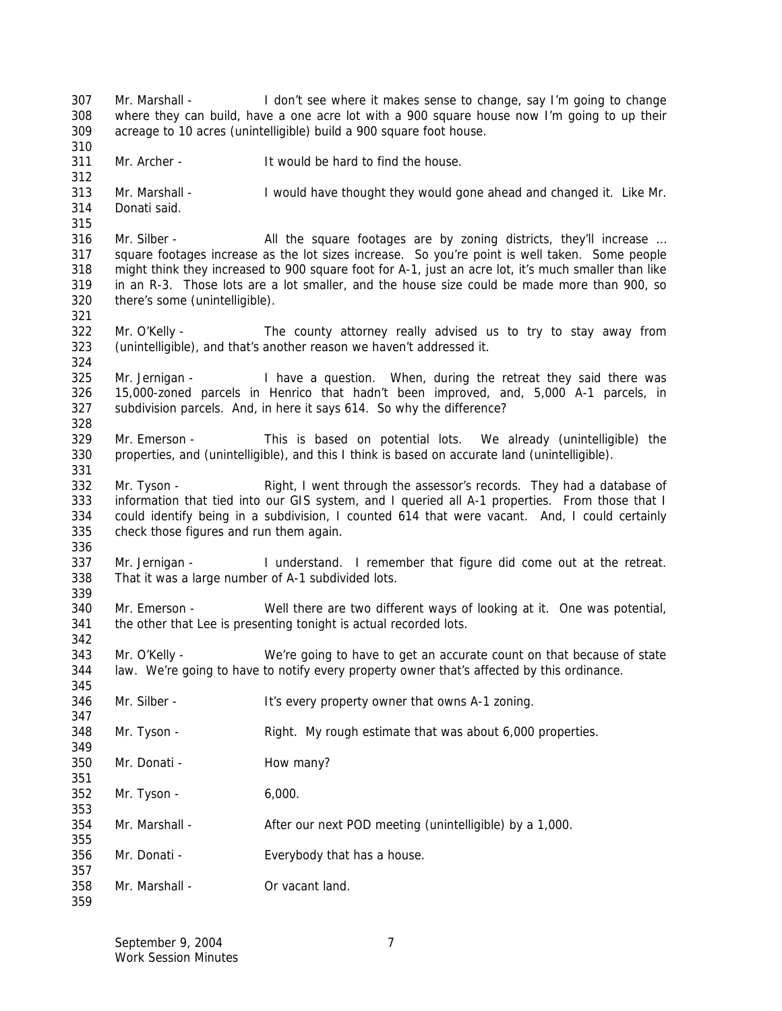Mr. Marshall - I don't see where it makes sense to change, say I'm going to change where they can build, have a one acre lot with a 900 square house now I'm going to up their acreage to 10 acres (unintelligible) build a 900 square foot house. Mr. Archer - It would be hard to find the house. Mr. Marshall - I would have thought they would gone ahead and changed it. Like Mr. Donati said. 316 Mr. Silber - All the square footages are by zoning districts, they'll increase ... square footages increase as the lot sizes increase. So you're point is well taken. Some people might think they increased to 900 square foot for A-1, just an acre lot, it's much smaller than like in an R-3. Those lots are a lot smaller, and the house size could be made more than 900, so there's some (unintelligible). Mr. O'Kelly - The county attorney really advised us to try to stay away from (unintelligible), and that's another reason we haven't addressed it. Mr. Jernigan - I have a question. When, during the retreat they said there was 15,000-zoned parcels in Henrico that hadn't been improved, and, 5,000 A-1 parcels, in subdivision parcels. And, in here it says 614. So why the difference? Mr. Emerson - This is based on potential lots. We already (unintelligible) the properties, and (unintelligible), and this I think is based on accurate land (unintelligible). Mr. Tyson - Right, I went through the assessor's records. They had a database of information that tied into our GIS system, and I queried all A-1 properties. From those that I could identify being in a subdivision, I counted 614 that were vacant. And, I could certainly check those figures and run them again. Mr. Jernigan - I understand. I remember that figure did come out at the retreat. That it was a large number of A-1 subdivided lots. Mr. Emerson - Well there are two different ways of looking at it. One was potential, the other that Lee is presenting tonight is actual recorded lots. Mr. O'Kelly - We're going to have to get an accurate count on that because of state law. We're going to have to notify every property owner that's affected by this ordinance. Mr. Silber - It's every property owner that owns A-1 zoning. Mr. Tyson - Right. My rough estimate that was about 6,000 properties. Mr. Donati - How many? Mr. Tyson - 6,000. Mr. Marshall - After our next POD meeting (unintelligible) by a 1,000. Mr. Donati - Everybody that has a house. Mr. Marshall - Or vacant land.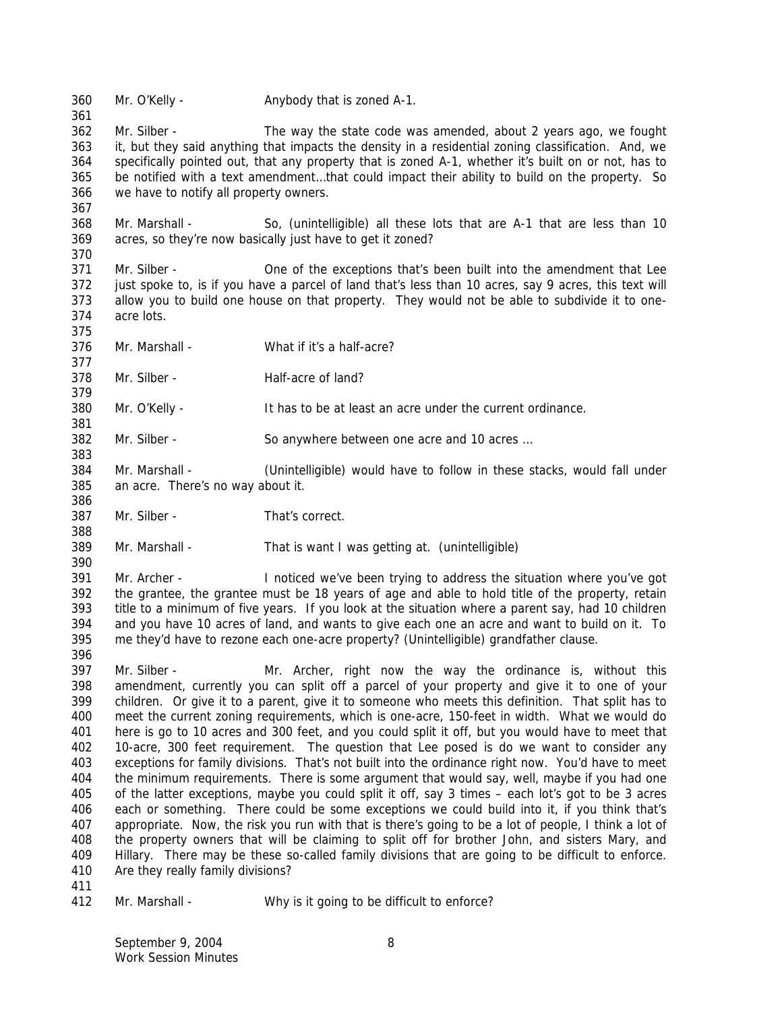Mr. O'Kelly - Anybody that is zoned A-1.

 Mr. Silber - The way the state code was amended, about 2 years ago, we fought it, but they said anything that impacts the density in a residential zoning classification. And, we specifically pointed out, that any property that is zoned A-1, whether it's built on or not, has to be notified with a text amendment…that could impact their ability to build on the property. So we have to notify all property owners.

 Mr. Marshall - So, (unintelligible) all these lots that are A-1 that are less than 10 acres, so they're now basically just have to get it zoned?

- Mr. Silber One of the exceptions that's been built into the amendment that Lee just spoke to, is if you have a parcel of land that's less than 10 acres, say 9 acres, this text will allow you to build one house on that property. They would not be able to subdivide it to one-acre lots.
- 

 Mr. Marshall - What if it's a half-acre? 

- 378 Mr. Silber Half-acre of land?
- Mr. O'Kelly It has to be at least an acre under the current ordinance.

Mr. Silber - So anywhere between one acre and 10 acres …

- Mr. Marshall (Unintelligible) would have to follow in these stacks, would fall under an acre. There's no way about it.
- Mr. Silber That's correct.

Mr. Marshall - That is want I was getting at. (unintelligible)

 Mr. Archer - I noticed we've been trying to address the situation where you've got the grantee, the grantee must be 18 years of age and able to hold title of the property, retain title to a minimum of five years. If you look at the situation where a parent say, had 10 children and you have 10 acres of land, and wants to give each one an acre and want to build on it. To me they'd have to rezone each one-acre property? (Unintelligible) grandfather clause.

- Mr. Silber Mr. Archer, right now the way the ordinance is, without this amendment, currently you can split off a parcel of your property and give it to one of your children. Or give it to a parent, give it to someone who meets this definition. That split has to meet the current zoning requirements, which is one-acre, 150-feet in width. What we would do here is go to 10 acres and 300 feet, and you could split it off, but you would have to meet that 10-acre, 300 feet requirement. The question that Lee posed is do we want to consider any exceptions for family divisions. That's not built into the ordinance right now. You'd have to meet the minimum requirements. There is some argument that would say, well, maybe if you had one of the latter exceptions, maybe you could split it off, say 3 times – each lot's got to be 3 acres each or something. There could be some exceptions we could build into it, if you think that's appropriate. Now, the risk you run with that is there's going to be a lot of people, I think a lot of the property owners that will be claiming to split off for brother John, and sisters Mary, and Hillary. There may be these so-called family divisions that are going to be difficult to enforce. Are they really family divisions?
- 

Mr. Marshall - Why is it going to be difficult to enforce?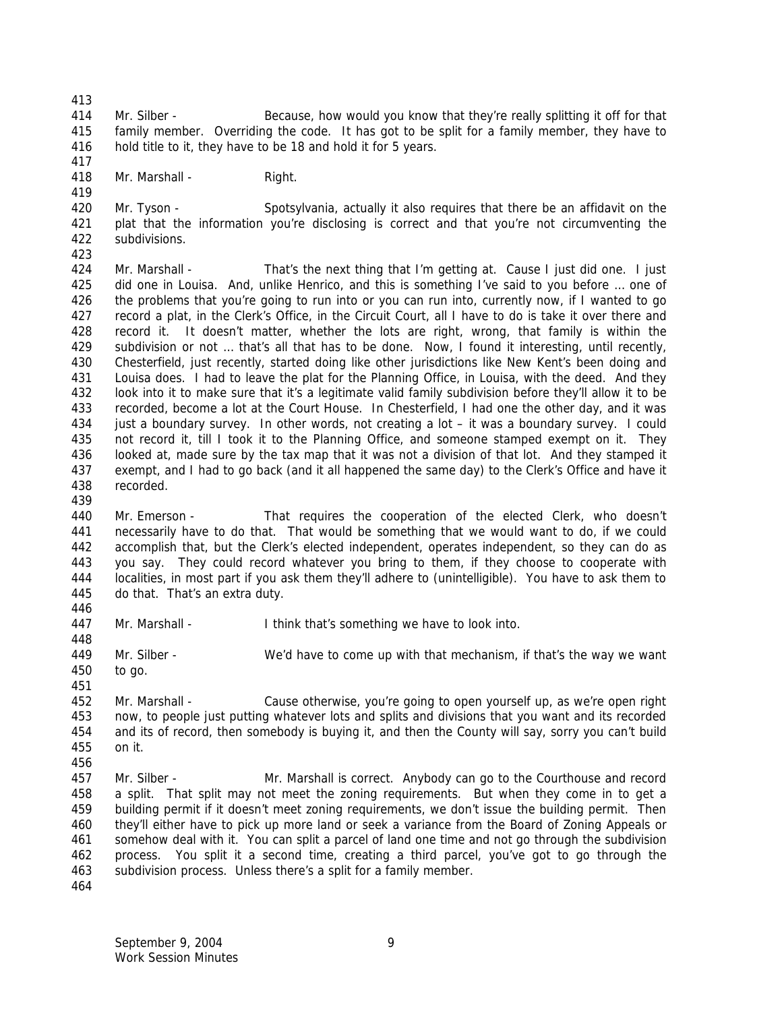Mr. Silber - Because, how would you know that they're really splitting it off for that family member. Overriding the code. It has got to be split for a family member, they have to hold title to it, they have to be 18 and hold it for 5 years.

418 Mr. Marshall - Right.

420 Mr. Tyson - Spotsylvania, actually it also requires that there be an affidavit on the plat that the information you're disclosing is correct and that you're not circumventing the subdivisions.

 Mr. Marshall - That's the next thing that I'm getting at. Cause I just did one. I just did one in Louisa. And, unlike Henrico, and this is something I've said to you before … one of the problems that you're going to run into or you can run into, currently now, if I wanted to go record a plat, in the Clerk's Office, in the Circuit Court, all I have to do is take it over there and record it. It doesn't matter, whether the lots are right, wrong, that family is within the subdivision or not … that's all that has to be done. Now, I found it interesting, until recently, Chesterfield, just recently, started doing like other jurisdictions like New Kent's been doing and Louisa does. I had to leave the plat for the Planning Office, in Louisa, with the deed. And they look into it to make sure that it's a legitimate valid family subdivision before they'll allow it to be recorded, become a lot at the Court House. In Chesterfield, I had one the other day, and it was just a boundary survey. In other words, not creating a lot – it was a boundary survey. I could not record it, till I took it to the Planning Office, and someone stamped exempt on it. They looked at, made sure by the tax map that it was not a division of that lot. And they stamped it exempt, and I had to go back (and it all happened the same day) to the Clerk's Office and have it recorded.

 Mr. Emerson - That requires the cooperation of the elected Clerk, who doesn't necessarily have to do that. That would be something that we would want to do, if we could accomplish that, but the Clerk's elected independent, operates independent, so they can do as you say. They could record whatever you bring to them, if they choose to cooperate with localities, in most part if you ask them they'll adhere to (unintelligible). You have to ask them to do that. That's an extra duty. 

- Mr. Marshall I think that's something we have to look into.
- Mr. Silber - We'd have to come up with that mechanism, if that's the way we want to go.
- 

 Mr. Marshall - Cause otherwise, you're going to open yourself up, as we're open right now, to people just putting whatever lots and splits and divisions that you want and its recorded and its of record, then somebody is buying it, and then the County will say, sorry you can't build on it. 

 Mr. Silber - Mr. Marshall is correct. Anybody can go to the Courthouse and record a split. That split may not meet the zoning requirements. But when they come in to get a building permit if it doesn't meet zoning requirements, we don't issue the building permit. Then they'll either have to pick up more land or seek a variance from the Board of Zoning Appeals or somehow deal with it. You can split a parcel of land one time and not go through the subdivision process. You split it a second time, creating a third parcel, you've got to go through the subdivision process. Unless there's a split for a family member.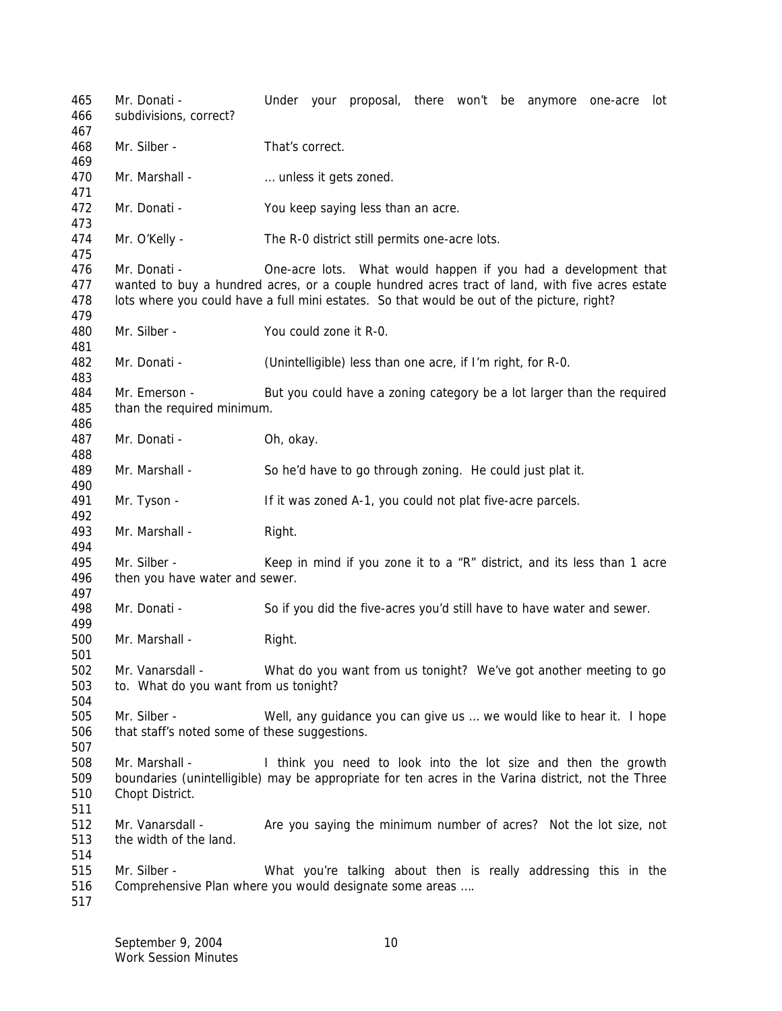Mr. Donati - Under your proposal, there won't be anymore one-acre lot subdivisions, correct? Mr. Silber - That's correct. 470 Mr. Marshall - **Example 10** metals it gets zoned. Mr. Donati - You keep saying less than an acre. Mr. O'Kelly - The R-0 district still permits one-acre lots. Mr. Donati - One-acre lots. What would happen if you had a development that wanted to buy a hundred acres, or a couple hundred acres tract of land, with five acres estate lots where you could have a full mini estates. So that would be out of the picture, right? Mr. Silber - You could zone it R-0. Mr. Donati - (Unintelligible) less than one acre, if I'm right, for R-0. 484 Mr. Emerson - But you could have a zoning category be a lot larger than the required than the required minimum. 487 Mr. Donati - Oh, okay. Mr. Marshall - So he'd have to go through zoning. He could just plat it. Mr. Tyson - If it was zoned A-1, you could not plat five-acre parcels. 493 Mr. Marshall - Right. Mr. Silber - Keep in mind if you zone it to a "R" district, and its less than 1 acre then you have water and sewer. Mr. Donati - So if you did the five-acres you'd still have to have water and sewer. 500 Mr. Marshall - Right. Mr. Vanarsdall - What do you want from us tonight? We've got another meeting to go to. What do you want from us tonight? Mr. Silber - Well, any guidance you can give us … we would like to hear it. I hope that staff's noted some of these suggestions. Mr. Marshall - I think you need to look into the lot size and then the growth boundaries (unintelligible) may be appropriate for ten acres in the Varina district, not the Three Chopt District. Mr. Vanarsdall - Are you saying the minimum number of acres? Not the lot size, not the width of the land. Mr. Silber - What you're talking about then is really addressing this in the Comprehensive Plan where you would designate some areas ….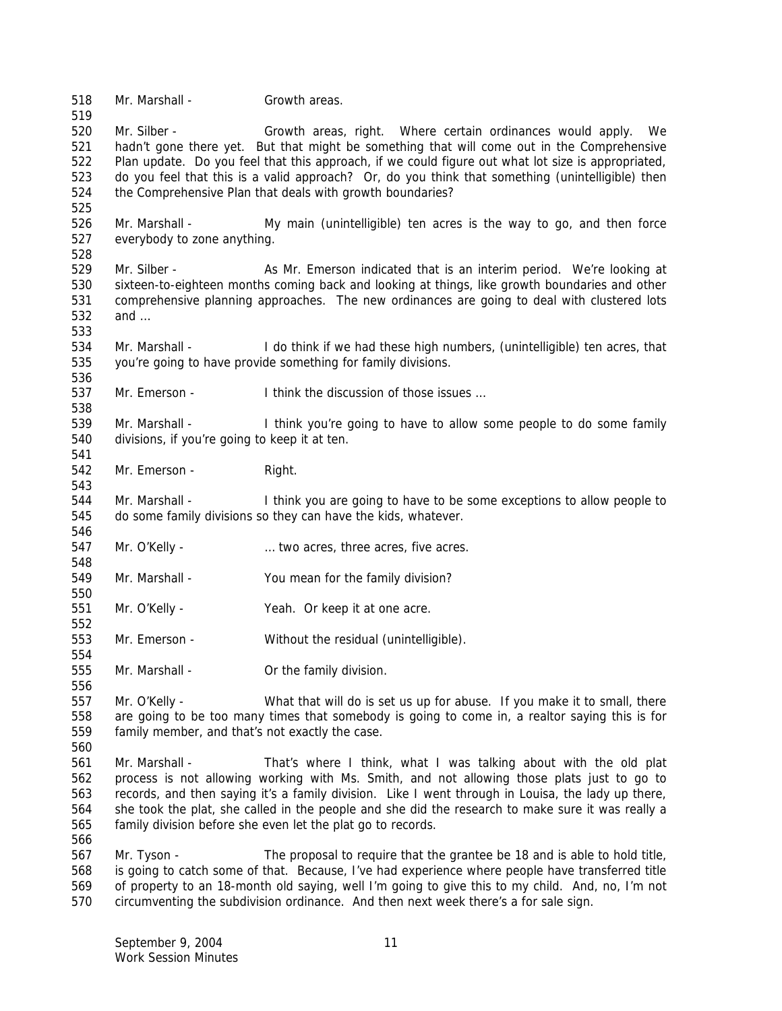Mr. Marshall - Growth areas. Mr. Silber - Growth areas, right. Where certain ordinances would apply. We hadn't gone there yet. But that might be something that will come out in the Comprehensive Plan update. Do you feel that this approach, if we could figure out what lot size is appropriated, do you feel that this is a valid approach? Or, do you think that something (unintelligible) then the Comprehensive Plan that deals with growth boundaries? Mr. Marshall - My main (unintelligible) ten acres is the way to go, and then force everybody to zone anything. 529 Mr. Silber - As Mr. Emerson indicated that is an interim period. We're looking at sixteen-to-eighteen months coming back and looking at things, like growth boundaries and other comprehensive planning approaches. The new ordinances are going to deal with clustered lots and … Mr. Marshall - I do think if we had these high numbers, (unintelligible) ten acres, that you're going to have provide something for family divisions. 537 Mr. Emerson - I think the discussion of those issues ... Mr. Marshall - I think you're going to have to allow some people to do some family divisions, if you're going to keep it at ten. 542 Mr. Emerson - Right. Mr. Marshall - I think you are going to have to be some exceptions to allow people to do some family divisions so they can have the kids, whatever. Mr. O'Kelly - … two acres, three acres, five acres. Mr. Marshall - You mean for the family division? Mr. O'Kelly - Yeah. Or keep it at one acre. Mr. Emerson - Without the residual (unintelligible). 555 Mr. Marshall - Or the family division. Mr. O'Kelly - What that will do is set us up for abuse. If you make it to small, there are going to be too many times that somebody is going to come in, a realtor saying this is for family member, and that's not exactly the case. Mr. Marshall - That's where I think, what I was talking about with the old plat process is not allowing working with Ms. Smith, and not allowing those plats just to go to records, and then saying it's a family division. Like I went through in Louisa, the lady up there, she took the plat, she called in the people and she did the research to make sure it was really a family division before she even let the plat go to records. Mr. Tyson - The proposal to require that the grantee be 18 and is able to hold title, is going to catch some of that. Because, I've had experience where people have transferred title of property to an 18-month old saying, well I'm going to give this to my child. And, no, I'm not circumventing the subdivision ordinance. And then next week there's a for sale sign.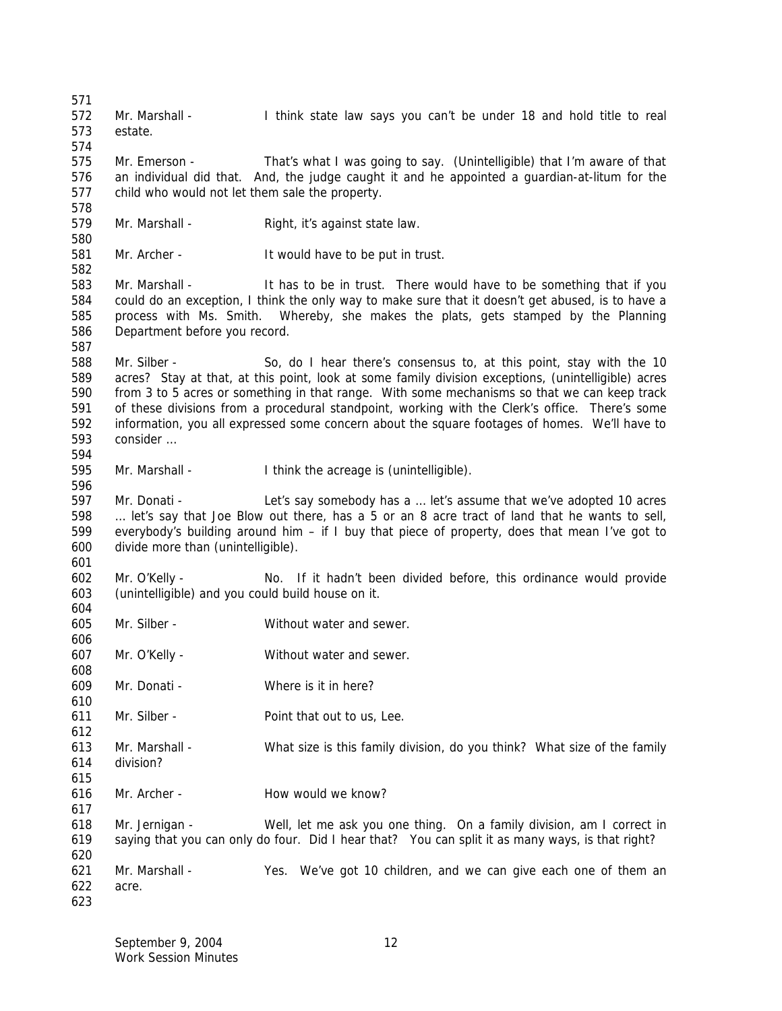Mr. Marshall - I think state law says you can't be under 18 and hold title to real estate. Mr. Emerson - That's what I was going to say. (Unintelligible) that I'm aware of that an individual did that. And, the judge caught it and he appointed a guardian-at-litum for the child who would not let them sale the property. 579 Mr. Marshall - Right, it's against state law. Mr. Archer - It would have to be put in trust. 583 Mr. Marshall - It has to be in trust. There would have to be something that if you could do an exception, I think the only way to make sure that it doesn't get abused, is to have a process with Ms. Smith. Whereby, she makes the plats, gets stamped by the Planning Department before you record. Mr. Silber - So, do I hear there's consensus to, at this point, stay with the 10 acres? Stay at that, at this point, look at some family division exceptions, (unintelligible) acres from 3 to 5 acres or something in that range. With some mechanisms so that we can keep track of these divisions from a procedural standpoint, working with the Clerk's office. There's some information, you all expressed some concern about the square footages of homes. We'll have to consider … Mr. Marshall - I think the acreage is (unintelligible). Mr. Donati - Let's say somebody has a … let's assume that we've adopted 10 acres … let's say that Joe Blow out there, has a 5 or an 8 acre tract of land that he wants to sell, everybody's building around him – if I buy that piece of property, does that mean I've got to divide more than (unintelligible). Mr. O'Kelly - No. If it hadn't been divided before, this ordinance would provide (unintelligible) and you could build house on it. Mr. Silber - Without water and sewer. Mr. O'Kelly - Without water and sewer. Mr. Donati - Where is it in here? Mr. Silber - Point that out to us, Lee. Mr. Marshall - What size is this family division, do you think? What size of the family division? 616 Mr. Archer - How would we know? Mr. Jernigan - Well, let me ask you one thing. On a family division, am I correct in saying that you can only do four. Did I hear that? You can split it as many ways, is that right? Mr. Marshall - Yes. We've got 10 children, and we can give each one of them an acre.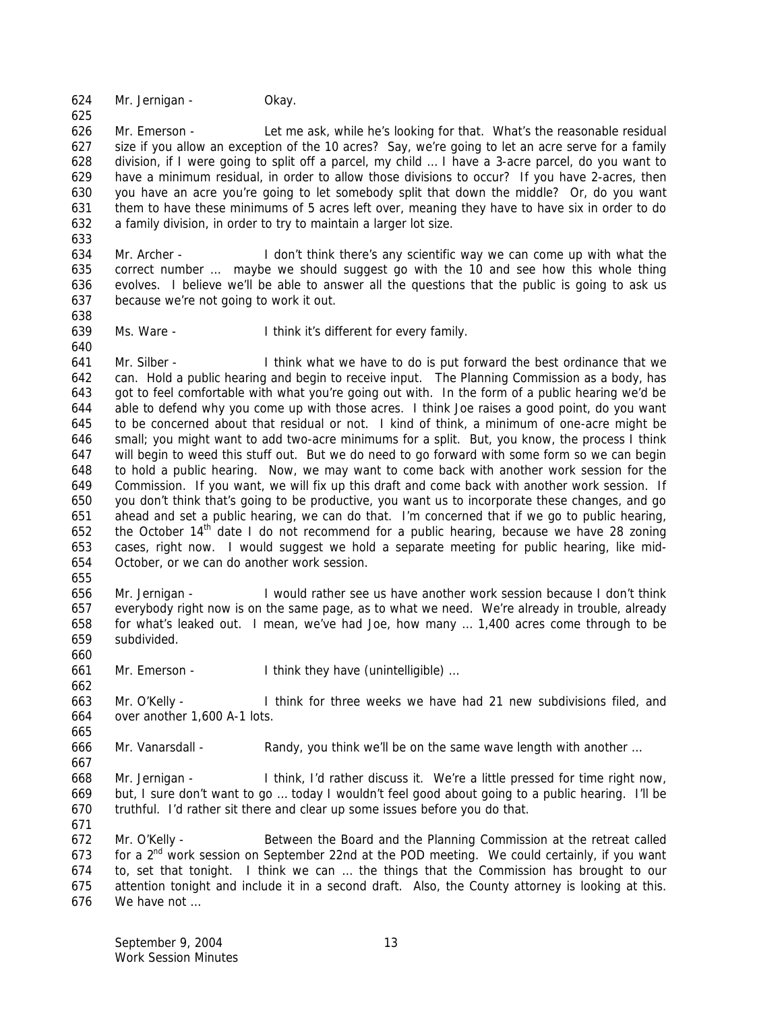Mr. Jernigan - Okay.

 Mr. Emerson - Let me ask, while he's looking for that. What's the reasonable residual size if you allow an exception of the 10 acres? Say, we're going to let an acre serve for a family division, if I were going to split off a parcel, my child … I have a 3-acre parcel, do you want to have a minimum residual, in order to allow those divisions to occur? If you have 2-acres, then you have an acre you're going to let somebody split that down the middle? Or, do you want them to have these minimums of 5 acres left over, meaning they have to have six in order to do a family division, in order to try to maintain a larger lot size.

 Mr. Archer - I don't think there's any scientific way we can come up with what the correct number … maybe we should suggest go with the 10 and see how this whole thing evolves. I believe we'll be able to answer all the questions that the public is going to ask us because we're not going to work it out. 

Ms. Ware - I think it's different for every family.

 Mr. Silber - I think what we have to do is put forward the best ordinance that we can. Hold a public hearing and begin to receive input. The Planning Commission as a body, has got to feel comfortable with what you're going out with. In the form of a public hearing we'd be able to defend why you come up with those acres. I think Joe raises a good point, do you want to be concerned about that residual or not. I kind of think, a minimum of one-acre might be small; you might want to add two-acre minimums for a split. But, you know, the process I think will begin to weed this stuff out. But we do need to go forward with some form so we can begin to hold a public hearing. Now, we may want to come back with another work session for the Commission. If you want, we will fix up this draft and come back with another work session. If you don't think that's going to be productive, you want us to incorporate these changes, and go ahead and set a public hearing, we can do that. I'm concerned that if we go to public hearing, 652 the October  $14<sup>th</sup>$  date I do not recommend for a public hearing, because we have 28 zoning cases, right now. I would suggest we hold a separate meeting for public hearing, like mid-October, or we can do another work session.

 Mr. Jernigan - I would rather see us have another work session because I don't think everybody right now is on the same page, as to what we need. We're already in trouble, already for what's leaked out. I mean, we've had Joe, how many … 1,400 acres come through to be subdivided.

Mr. Emerson - I think they have (unintelligible) …

 Mr. O'Kelly - I think for three weeks we have had 21 new subdivisions filed, and over another 1,600 A-1 lots.

Mr. Vanarsdall - Randy, you think we'll be on the same wave length with another …

 Mr. Jernigan - I think, I'd rather discuss it. We're a little pressed for time right now, but, I sure don't want to go … today I wouldn't feel good about going to a public hearing. I'll be truthful. I'd rather sit there and clear up some issues before you do that.

 Mr. O'Kelly - Between the Board and the Planning Commission at the retreat called 673 for a  $2<sup>nd</sup>$  work session on September 22nd at the POD meeting. We could certainly, if you want to, set that tonight. I think we can … the things that the Commission has brought to our attention tonight and include it in a second draft. Also, the County attorney is looking at this. We have not …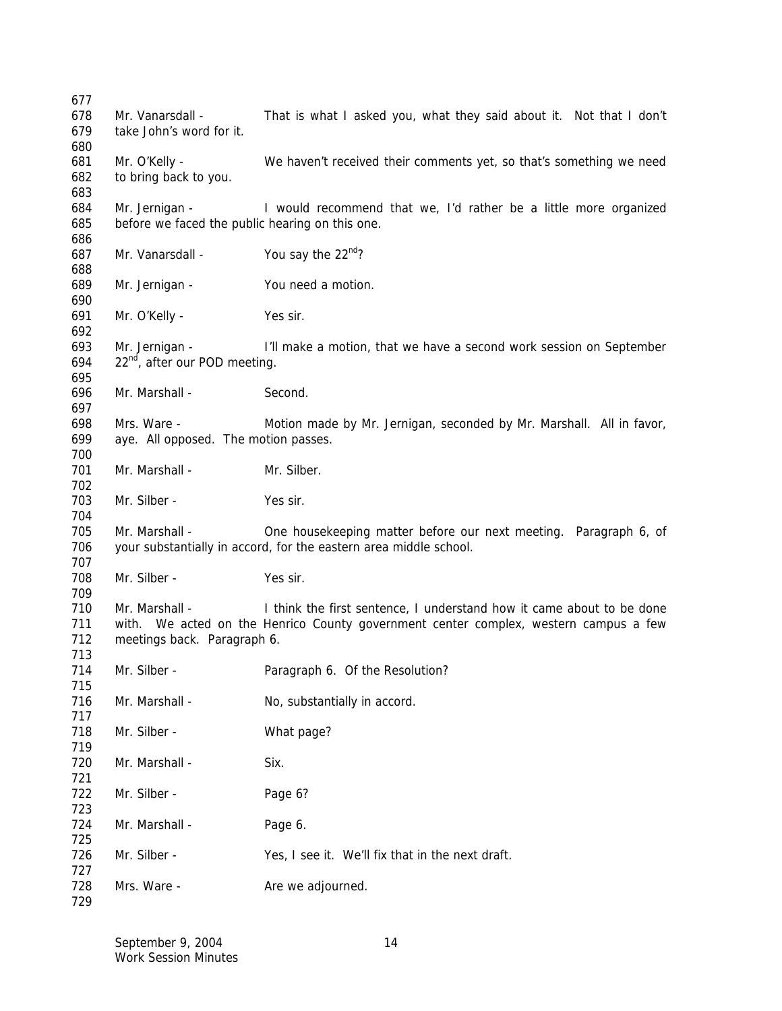| 677               |                                                                   |                                                                                                                                                               |
|-------------------|-------------------------------------------------------------------|---------------------------------------------------------------------------------------------------------------------------------------------------------------|
| 678<br>679        | Mr. Vanarsdall -<br>take John's word for it.                      | That is what I asked you, what they said about it. Not that I don't                                                                                           |
| 680<br>681<br>682 | Mr. O'Kelly -<br>to bring back to you.                            | We haven't received their comments yet, so that's something we need                                                                                           |
| 683<br>684<br>685 | Mr. Jernigan -<br>before we faced the public hearing on this one. | I would recommend that we, I'd rather be a little more organized                                                                                              |
| 686<br>687<br>688 | Mr. Vanarsdall -                                                  | You say the 22nd?                                                                                                                                             |
| 689<br>690        | Mr. Jernigan -                                                    | You need a motion.                                                                                                                                            |
| 691<br>692        | Mr. O'Kelly -                                                     | Yes sir.                                                                                                                                                      |
| 693<br>694<br>695 | Mr. Jernigan -<br>22 <sup>nd</sup> , after our POD meeting.       | I'll make a motion, that we have a second work session on September                                                                                           |
| 696<br>697        | Mr. Marshall -                                                    | Second.                                                                                                                                                       |
| 698<br>699<br>700 | Mrs. Ware -<br>aye. All opposed. The motion passes.               | Motion made by Mr. Jernigan, seconded by Mr. Marshall. All in favor,                                                                                          |
| 701<br>702        | Mr. Marshall -                                                    | Mr. Silber.                                                                                                                                                   |
| 703<br>704        | Mr. Silber -                                                      | Yes sir.                                                                                                                                                      |
| 705<br>706        | Mr. Marshall -                                                    | One housekeeping matter before our next meeting. Paragraph 6, of<br>your substantially in accord, for the eastern area middle school.                         |
| 707<br>708<br>709 | Mr. Silber -                                                      | Yes sir.                                                                                                                                                      |
| 710<br>711<br>712 | Mr. Marshall -<br>meetings back. Paragraph 6.                     | I think the first sentence, I understand how it came about to be done<br>with. We acted on the Henrico County government center complex, western campus a few |
| 713<br>714<br>715 | Mr. Silber -                                                      | Paragraph 6. Of the Resolution?                                                                                                                               |
| 716<br>717        | Mr. Marshall -                                                    | No, substantially in accord.                                                                                                                                  |
| 718<br>719        | Mr. Silber -                                                      | What page?                                                                                                                                                    |
| 720<br>721        | Mr. Marshall -                                                    | Six.                                                                                                                                                          |
| 722<br>723        | Mr. Silber -                                                      | Page 6?                                                                                                                                                       |
| 724<br>725        | Mr. Marshall -                                                    | Page 6.                                                                                                                                                       |
| 726<br>727        | Mr. Silber -                                                      | Yes, I see it. We'll fix that in the next draft.                                                                                                              |
| 728<br>729        | Mrs. Ware -                                                       | Are we adjourned.                                                                                                                                             |